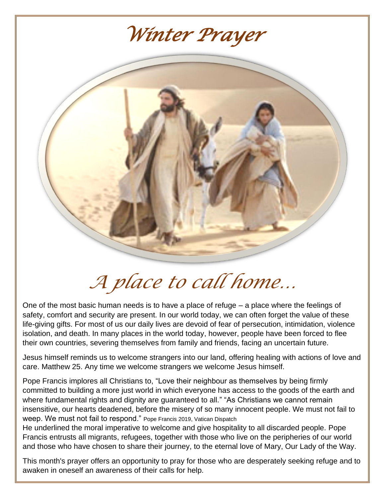

*A place to call home…*

One of the most basic human needs is to have a place of refuge – a place where the feelings of safety, comfort and security are present. In our world today, we can often forget the value of these life-giving gifts. For most of us our daily lives are devoid of fear of persecution, intimidation, violence isolation, and death. In many places in the world today, however, people have been forced to flee their own countries, severing themselves from family and friends, facing an uncertain future.

Jesus himself reminds us to welcome strangers into our land, offering healing with actions of love and care. Matthew 25. Any time we welcome strangers we welcome Jesus himself.

Pope Francis implores all Christians to, "Love their neighbour as themselves by being firmly committed to building a more just world in which everyone has access to the goods of the earth and where fundamental rights and dignity are guaranteed to all." "As Christians we cannot remain insensitive, our hearts deadened, before the misery of so many innocent people. We must not fail to weep. We must not fail to respond." Pope Francis 2019, Vatican Dispatch

He underlined the moral imperative to welcome and give hospitality to all discarded people. Pope Francis entrusts all migrants, refugees, together with those who live on the peripheries of our world and those who have chosen to share their journey, to the eternal love of Mary, Our Lady of the Way.

This month's prayer offers an opportunity to pray for those who are desperately seeking refuge and to awaken in oneself an awareness of their calls for help.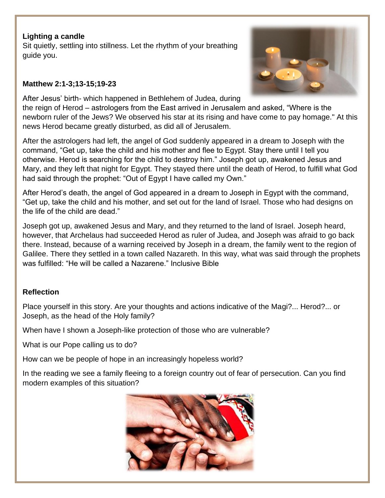## **Lighting a candle**

Sit quietly, settling into stillness. Let the rhythm of your breathing guide you.

## **Matthew 2:1-3;13-15;19-23**

After Jesus' birth- which happened in Bethlehem of Judea, during

the reign of Herod – astrologers from the East arrived in Jerusalem and asked, "Where is the newborn ruler of the Jews? We observed his star at its rising and have come to pay homage." At this news Herod became greatly disturbed, as did all of Jerusalem.

After the astrologers had left, the angel of God suddenly appeared in a dream to Joseph with the command, "Get up, take the child and his mother and flee to Egypt. Stay there until I tell you otherwise. Herod is searching for the child to destroy him." Joseph got up, awakened Jesus and Mary, and they left that night for Egypt. They stayed there until the death of Herod, to fulfill what God had said through the prophet: "Out of Egypt I have called my Own."

After Herod's death, the angel of God appeared in a dream to Joseph in Egypt with the command, "Get up, take the child and his mother, and set out for the land of Israel. Those who had designs on the life of the child are dead."

Joseph got up, awakened Jesus and Mary, and they returned to the land of Israel. Joseph heard, however, that Archelaus had succeeded Herod as ruler of Judea, and Joseph was afraid to go back there. Instead, because of a warning received by Joseph in a dream, the family went to the region of Galilee. There they settled in a town called Nazareth. In this way, what was said through the prophets was fulfilled: "He will be called a Nazarene." Inclusive Bible

# **Reflection**

Place yourself in this story. Are your thoughts and actions indicative of the Magi?... Herod?... or Joseph, as the head of the Holy family?

When have I shown a Joseph-like protection of those who are vulnerable?

What is our Pope calling us to do?

How can we be people of hope in an increasingly hopeless world?

In the reading we see a family fleeing to a foreign country out of fear of persecution. Can you find modern examples of this situation?



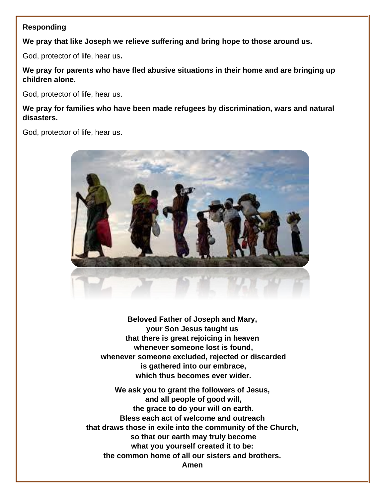## **Responding**

**We pray that like Joseph we relieve suffering and bring hope to those around us.**

God, protector of life, hear us**.**

**We pray for parents who have fled abusive situations in their home and are bringing up children alone.**

God, protector of life, hear us.

**We pray for families who have been made refugees by discrimination, wars and natural disasters.**

God, protector of life, hear us.



**Beloved Father of Joseph and Mary, your Son Jesus taught us that there is great rejoicing in heaven whenever someone lost is found, whenever someone excluded, rejected or discarded is gathered into our embrace, which thus becomes ever wider.**

**We ask you to grant the followers of Jesus, and all people of good will, the grace to do your will on earth. Bless each act of welcome and outreach that draws those in exile into the community of the Church, so that our earth may truly become what you yourself created it to be: the common home of all our sisters and brothers. Amen**